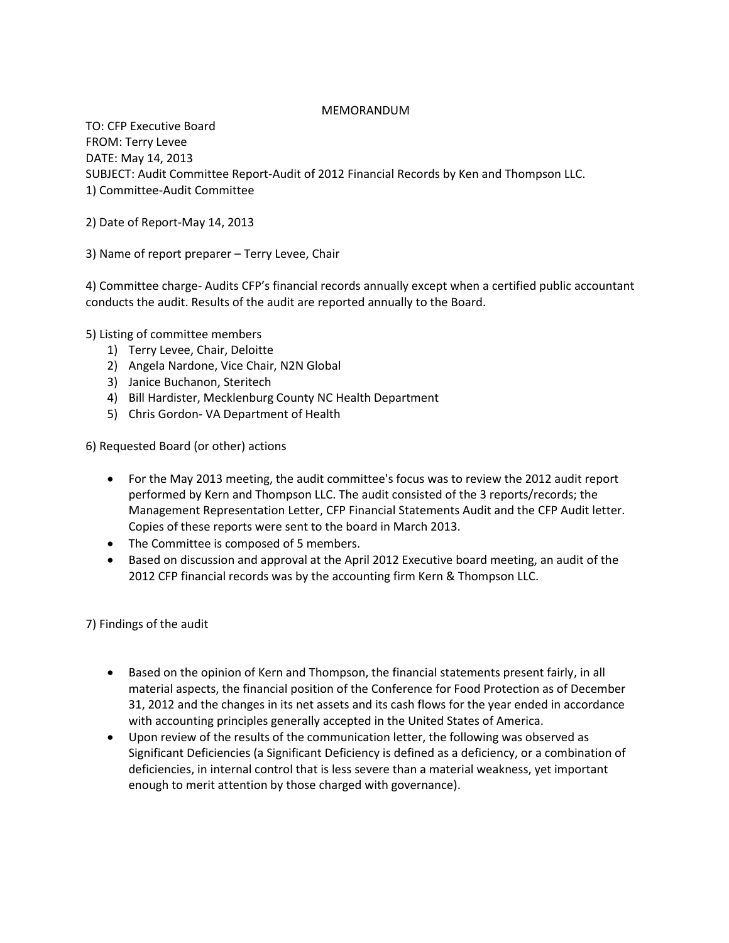# MEMORANDUM

TO: CFP Executive Board FROM: Terry Levee DATE: May 14, 2013 SUBJECT: Audit Committee Report-Audit of 2012 Financial Records by Ken and Thompson LLC. 1) Committee-Audit Committee

2) Date of Report-May 14, 2013

3) Name of report preparer – Terry Levee, Chair

4) Committee charge- Audits CFP's financial records annually except when a certified public accountant conducts the audit. Results of the audit are reported annually to the Board.

5) Listing of committee members

- 1) Terry Levee, Chair, Deloitte
- 2) Angela Nardone, Vice Chair, N2N Global
- 3) Janice Buchanon, Steritech
- 4) Bill Hardister, Mecklenburg County NC Health Department
- 5) Chris Gordon- VA Department of Health

6) Requested Board (or other) actions

- For the May 2013 meeting, the audit committee's focus was to review the 2012 audit report performed by Kern and Thompson LLC. The audit consisted of the 3 reports/records; the Management Representation Letter, CFP Financial Statements Audit and the CFP Audit letter. Copies of these reports were sent to the board in March 2013.
- The Committee is composed of 5 members.
- Based on discussion and approval at the April 2012 Executive board meeting, an audit of the 2012 CFP financial records was by the accounting firm Kern & Thompson LLC.

7) Findings of the audit

- Based on the opinion of Kern and Thompson, the financial statements present fairly, in all material aspects, the financial position of the Conference for Food Protection as of December 31, 2012 and the changes in its net assets and its cash flows for the year ended in accordance with accounting principles generally accepted in the United States of America.
- Upon review of the results of the communication letter, the following was observed as Significant Deficiencies (a Significant Deficiency is defined as a deficiency, or a combination of deficiencies, in internal control that is less severe than a material weakness, yet important enough to merit attention by those charged with governance).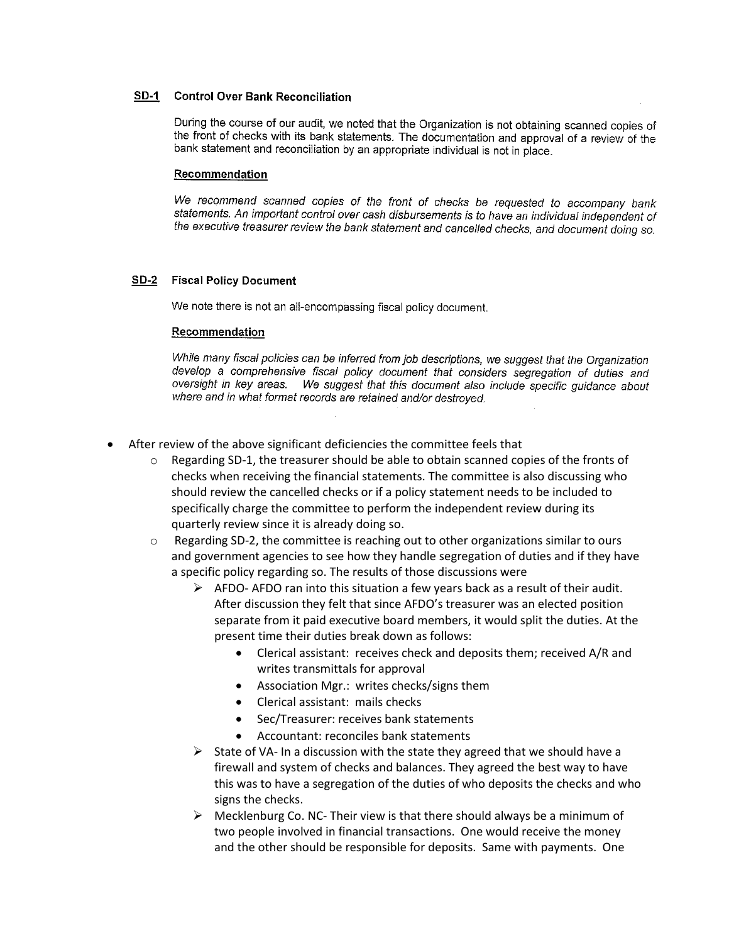## **SD-1** Control Over Bank Reconciliation

During the course of our audit, we noted that the Organization is not obtaining scanned copies of the front of checks with its bank statements. The documentation and approval of a review of the bank statement and reconciliation by an appropriate individual is not in place.

#### Recommendation

We recommend scanned copies of the front of checks be requested to accompany bank statements. An important control over cash disbursements is to have an individual independent of the executive treasurer review the bank statement and cancelled checks, and document doing so.

## **SD-2** Fiscal Policy Document

We note there is not an all-encompassing fiscal policy document.

### Recommendation

While many fiscal policies can be inferred from job descriptions, we suggest that the Organization develop a comprehensive fiscal policy document that considers segregation of duties and oversight in key areas. We suggest that this document also include specific guidance about where and in what format records are retained and/or destroyed.

- After review of the above significant deficiencies the committee feels that
	- $\circ$  Regarding SD-1, the treasurer should be able to obtain scanned copies of the fronts of checks when receiving the financial statements. The committee is also discussing who should review the cancelled checks or if a policy statement needs to be included to specifically charge the committee to perform the independent review during its quarterly review since it is already doing so.
	- $\circ$  Regarding SD-2, the committee is reaching out to other organizations similar to ours and government agencies to see how they handle segregation of duties and if they have a specific policy regarding so. The results of those discussions were
		- $\triangleright$  AFDO- AFDO ran into this situation a few years back as a result of their audit. After discussion they felt that since AFDO's treasurer was an elected position separate from it paid executive board members, it would split the duties. At the present time their duties break down as follows:
			- Clerical assistant: receives check and deposits them; received A/R and writes transmittals for approval
			- Association Mgr.: writes checks/signs them
			- Clerical assistant: mails checks
			- Sec/Treasurer: receives bank statements
			- Accountant: reconciles bank statements
		- $\triangleright$  State of VA- In a discussion with the state they agreed that we should have a firewall and system of checks and balances. They agreed the best way to have this was to have a segregation of the duties of who deposits the checks and who signs the checks.
		- $\triangleright$  Mecklenburg Co. NC- Their view is that there should always be a minimum of two people involved in financial transactions. One would receive the money and the other should be responsible for deposits. Same with payments. One